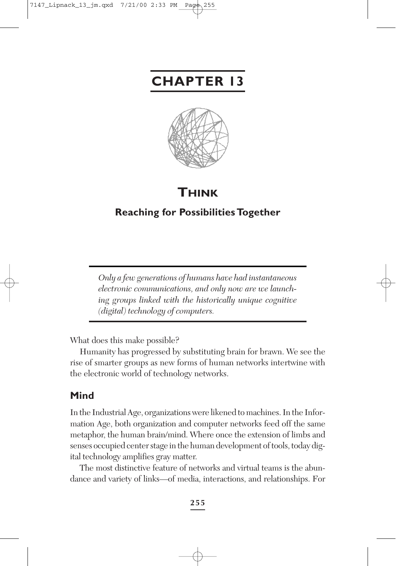# **CHAPTER 13**



## **THINK**

## **Reaching for Possibilities Together**

*Only a few generations of humans have had instantaneous electronic communications, and only now are we launching groups linked with the historically unique cognitive (digital) technology of computers.*

What does this make possible?

Humanity has progressed by substituting brain for brawn. We see the rise of smarter groups as new forms of human networks intertwine with the electronic world of technology networks.

## **Mind**

In the Industrial Age, organizations were likened to machines. In the Information Age, both organization and computer networks feed off the same metaphor, the human brain/mind. Where once the extension of limbs and senses occupied center stage in the human development of tools, today digital technology amplifies gray matter.

The most distinctive feature of networks and virtual teams is the abundance and variety of links—of media, interactions, and relationships. For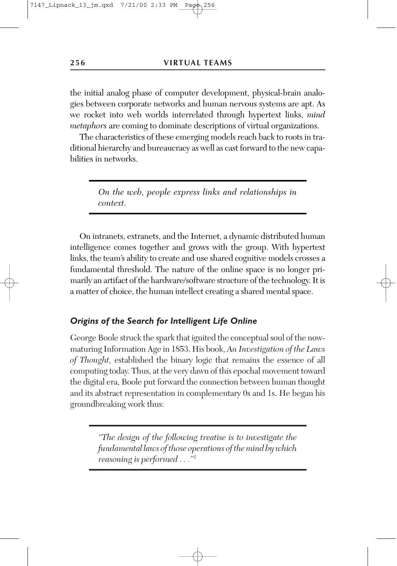the initial analog phase of computer development, physical-brain analogies between corporate networks and human nervous systems are apt. As we rocket into web worlds interrelated through hypertext links, *mind metaphors* are coming to dominate descriptions of virtual organizations.

The characteristics of these emerging models reach back to roots in traditional hierarchy and bureaucracy as well as cast forward to the new capabilities in networks.

> *On the web, people express links and relationships in context.*

On intranets, extranets, and the Internet, a dynamic distributed human intelligence comes together and grows with the group. With hypertext links, the team's ability to create and use shared cognitive models crosses a fundamental threshold. The nature of the online space is no longer primarily an artifact of the hardware/software structure of the technology. It is a matter of choice, the human intellect creating a shared mental space.

### *Origins of the Search for Intelligent Life Online*

George Boole struck the spark that ignited the conceptual soul of the nowmaturing Information Age in 1853. His book, *An Investigation of the Laws of Thought,* established the binary logic that remains the essence of all computing today. Thus, at the very dawn of this epochal movement toward the digital era, Boole put forward the connection between human thought and its abstract representation in complementary 0s and 1s. He began his groundbreaking work thus:

> *"The design of the following treatise is to investigate the fundamental laws of those operations of the mind by which reasoning is performed . . ."1*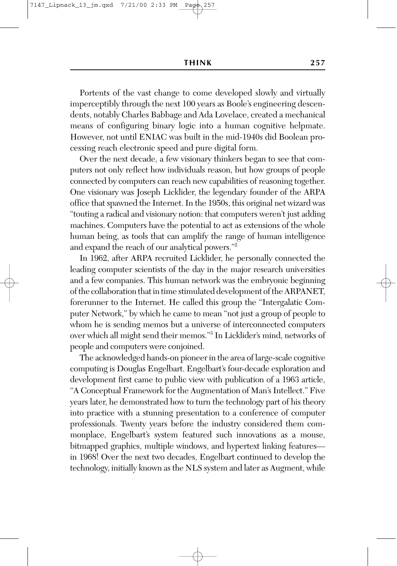Portents of the vast change to come developed slowly and virtually imperceptibly through the next 100 years as Boole's engineering descendents, notably Charles Babbage and Ada Lovelace, created a mechanical means of configuring binary logic into a human cognitive helpmate. However, not until ENIAC was built in the mid-1940s did Boolean processing reach electronic speed and pure digital form.

Over the next decade, a few visionary thinkers began to see that computers not only reflect how individuals reason, but how groups of people connected by computers can reach new capabilities of reasoning together. One visionary was Joseph Licklider, the legendary founder of the ARPA office that spawned the Internet. In the 1950s, this original net wizard was "touting a radical and visionary notion: that computers weren't just adding machines. Computers have the potential to act as extensions of the whole human being, as tools that can amplify the range of human intelligence and expand the reach of our analytical powers."2

In 1962, after ARPA recruited Licklider, he personally connected the leading computer scientists of the day in the major research universities and a few companies. This human network was the embryonic beginning of the collaboration that in time stimulated development of the ARPANET, forerunner to the Internet. He called this group the "Intergalatic Computer Network," by which he came to mean "not just a group of people to whom he is sending memos but a universe of interconnected computers over which all might send their memos."3 In Licklider's mind, networks of people and computers were conjoined.

The acknowledged hands-on pioneer in the area of large-scale cognitive computing is Douglas Engelbart. Engelbart's four-decade exploration and development first came to public view with publication of a 1963 article, "A Conceptual Framework for the Augmentation of Man's Intellect." Five years later, he demonstrated how to turn the technology part of his theory into practice with a stunning presentation to a conference of computer professionals. Twenty years before the industry considered them commonplace, Engelbart's system featured such innovations as a mouse, bitmapped graphics, multiple windows, and hypertext linking features in 1968! Over the next two decades, Engelbart continued to develop the technology, initially known as the NLS system and later as Augment, while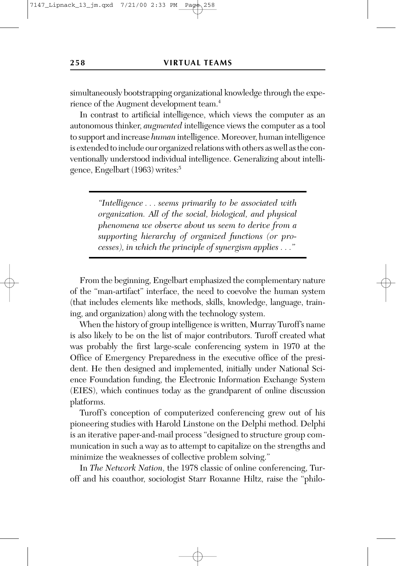simultaneously bootstrapping organizational knowledge through the experience of the Augment development team.<sup>4</sup>

In contrast to artificial intelligence, which views the computer as an autonomous thinker, *augmented* intelligence views the computer as a tool to support and increase *human* intelligence. Moreover, human intelligence is extended to include our organized relations with others as well as the conventionally understood individual intelligence. Generalizing about intelligence, Engelbart (1963) writes:<sup>5</sup>

> *"Intelligence... seems primarily to be associated with organization. All of the social, biological, and physical phenomena we observe about us seem to derive from a supporting hierarchy of organized functions (or processes), in which the principle of synergism applies . . ."*

From the beginning, Engelbart emphasized the complementary nature of the "man-artifact" interface, the need to coevolve the human system (that includes elements like methods, skills, knowledge, language, training, and organization) along with the technology system.

When the history of group intelligence is written, Murray Turoff's name is also likely to be on the list of major contributors. Turoff created what was probably the first large-scale conferencing system in 1970 at the Office of Emergency Preparedness in the executive office of the president. He then designed and implemented, initially under National Science Foundation funding, the Electronic Information Exchange System (EIES), which continues today as the grandparent of online discussion platforms.

Turoff's conception of computerized conferencing grew out of his pioneering studies with Harold Linstone on the Delphi method. Delphi is an iterative paper-and-mail process "designed to structure group communication in such a way as to attempt to capitalize on the strengths and minimize the weaknesses of collective problem solving."

In *The Network Nation,* the 1978 classic of online conferencing, Turoff and his coauthor, sociologist Starr Roxanne Hiltz, raise the "philo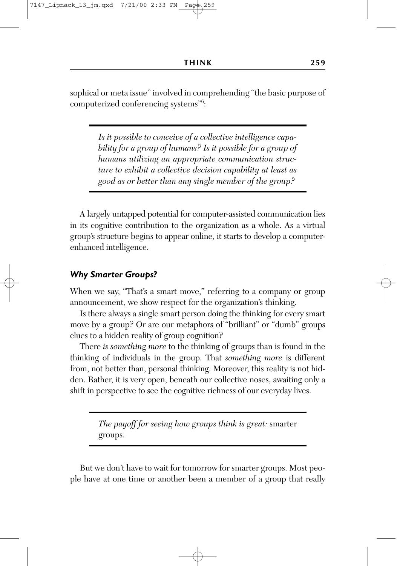sophical or meta issue" involved in comprehending "the basic purpose of computerized conferencing systems"6 :

> *Is it possible to conceive of a collective intelligence capability for a group of humans? Is it possible for a group of humans utilizing an appropriate communication structure to exhibit a collective decision capability at least as good as or better than any single member of the group?*

A largely untapped potential for computer-assisted communication lies in its cognitive contribution to the organization as a whole. As a virtual group's structure begins to appear online, it starts to develop a computerenhanced intelligence.

#### *Why Smarter Groups?*

When we say, "That's a smart move," referring to a company or group announcement, we show respect for the organization's thinking.

Is there always a single smart person doing the thinking for every smart move by a group? Or are our metaphors of "brilliant" or "dumb" groups clues to a hidden reality of group cognition?

There *is something more* to the thinking of groups than is found in the thinking of individuals in the group. That *something more* is different from, not better than, personal thinking. Moreover, this reality is not hidden. Rather, it is very open, beneath our collective noses, awaiting only a shift in perspective to see the cognitive richness of our everyday lives.

> *The payoff for seeing how groups think is great:* smarter groups.

But we don't have to wait for tomorrow for smarter groups. Most people have at one time or another been a member of a group that really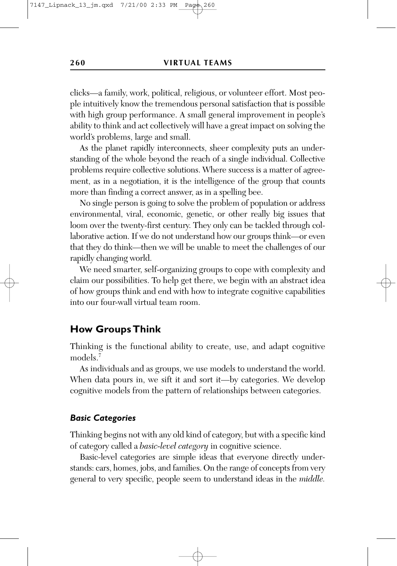clicks—a family, work, political, religious, or volunteer effort. Most people intuitively know the tremendous personal satisfaction that is possible with high group performance. A small general improvement in people's ability to think and act collectively will have a great impact on solving the world's problems, large and small.

As the planet rapidly interconnects, sheer complexity puts an understanding of the whole beyond the reach of a single individual. Collective problems require collective solutions. Where success is a matter of agreement, as in a negotiation, it is the intelligence of the group that counts more than finding a correct answer, as in a spelling bee.

No single person is going to solve the problem of population or address environmental, viral, economic, genetic, or other really big issues that loom over the twenty-first century. They only can be tackled through collaborative action. If we do not understand how our groups think—or even that they do think—then we will be unable to meet the challenges of our rapidly changing world.

We need smarter, self-organizing groups to cope with complexity and claim our possibilities. To help get there, we begin with an abstract idea of how groups think and end with how to integrate cognitive capabilities into our four-wall virtual team room.

## **How Groups Think**

Thinking is the functional ability to create, use, and adapt cognitive models.7

As individuals and as groups, we use models to understand the world. When data pours in, we sift it and sort it—by categories. We develop cognitive models from the pattern of relationships between categories.

#### *Basic Categories*

Thinking begins not with any old kind of category, but with a specific kind of category called a *basic-level category* in cognitive science.

Basic-level categories are simple ideas that everyone directly understands: cars, homes, jobs, and families. On the range of concepts from very general to very specific, people seem to understand ideas in the *middle.*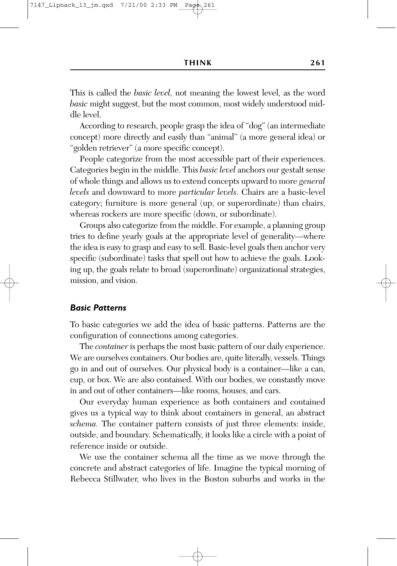This is called the *basic level,* not meaning the lowest level, as the word *basic* might suggest, but the most common, most widely understood middle level.

According to research, people grasp the idea of "dog" (an intermediate concept) more directly and easily than "animal" (a more general idea) or "golden retriever" (a more specific concept).

People categorize from the most accessible part of their experiences. Categories begin in the middle. This *basic level* anchors our gestalt sense of whole things and allows us to extend concepts upward to more *general levels* and downward to more *particular levels.* Chairs are a basic-level category; furniture is more general (up, or superordinate) than chairs, whereas rockers are more specific (down, or subordinate).

Groups also categorize from the middle. For example, a planning group tries to define yearly goals at the appropriate level of generality—where the idea is easy to grasp and easy to sell. Basic-level goals then anchor very specific (subordinate) tasks that spell out how to achieve the goals. Looking up, the goals relate to broad (superordinate) organizational strategies, mission, and vision.

#### *Basic Patterns*

To basic categories we add the idea of basic patterns. Patterns are the configuration of connections among categories.

The *container* is perhaps the most basic pattern of our daily experience. We are ourselves containers. Our bodies are, quite literally, vessels. Things go in and out of ourselves. Our physical body is a container—like a can, cup, or box. We are also contained. With our bodies, we constantly move in and out of other containers—like rooms, houses, and cars.

Our everyday human experience as both containers and contained gives us a typical way to think about containers in general, an abstract *schema.* The container pattern consists of just three elements: inside, outside, and boundary. Schematically, it looks like a circle with a point of reference inside or outside.

We use the container schema all the time as we move through the concrete and abstract categories of life. Imagine the typical morning of Rebecca Stillwater, who lives in the Boston suburbs and works in the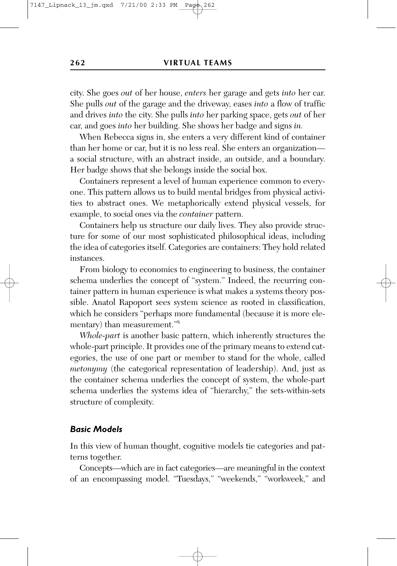city. She goes *out* of her house, *enters* her garage and gets *into* her car. She pulls *out* of the garage and the driveway, eases *into* a flow of traffic and drives *into* the city. She pulls *into* her parking space, gets *out* of her car, and goes *into* her building. She shows her badge and signs *in.*

When Rebecca signs in, she enters a very different kind of container than her home or car, but it is no less real. She enters an organization a social structure, with an abstract inside, an outside, and a boundary. Her badge shows that she belongs inside the social box.

Containers represent a level of human experience common to everyone. This pattern allows us to build mental bridges from physical activities to abstract ones. We metaphorically extend physical vessels, for example, to social ones via the *container* pattern.

Containers help us structure our daily lives. They also provide structure for some of our most sophisticated philosophical ideas, including the idea of categories itself. Categories are containers: They hold related instances.

From biology to economics to engineering to business, the container schema underlies the concept of "system." Indeed, the recurring container pattern in human experience is what makes a systems theory possible. Anatol Rapoport sees system science as rooted in classification, which he considers "perhaps more fundamental (because it is more elementary) than measurement."8

*Whole-part* is another basic pattern, which inherently structures the whole-part principle. It provides one of the primary means to extend categories, the use of one part or member to stand for the whole, called *metonymy* (the categorical representation of leadership). And, just as the container schema underlies the concept of system, the whole-part schema underlies the systems idea of "hierarchy," the sets-within-sets structure of complexity.

#### *Basic Models*

In this view of human thought, cognitive models tie categories and patterns together.

Concepts—which are in fact categories—are meaningful in the context of an encompassing model. "Tuesdays," "weekends," "workweek," and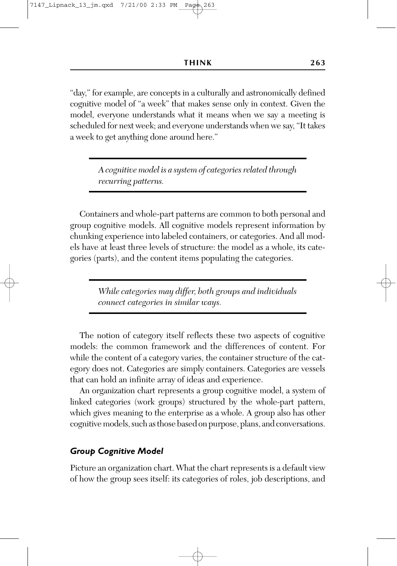"day," for example, are concepts in a culturally and astronomically defined cognitive model of "a week" that makes sense only in context. Given the model, everyone understands what it means when we say a meeting is scheduled for next week; and everyone understands when we say, "It takes a week to get anything done around here."

> *A cognitive model is a system of categories related through recurring patterns.*

Containers and whole-part patterns are common to both personal and group cognitive models. All cognitive models represent information by chunking experience into labeled containers, or categories. And all models have at least three levels of structure: the model as a whole, its categories (parts), and the content items populating the categories.

> *While categories may differ, both groups and individuals connect categories in similar ways.*

The notion of category itself reflects these two aspects of cognitive models: the common framework and the differences of content. For while the content of a category varies, the container structure of the category does not. Categories are simply containers. Categories are vessels that can hold an infinite array of ideas and experience.

An organization chart represents a group cognitive model, a system of linked categories (work groups) structured by the whole-part pattern, which gives meaning to the enterprise as a whole. A group also has other cognitive models, such as those based on purpose, plans, and conversations.

#### *Group Cognitive Model*

Picture an organization chart. What the chart represents is a default view of how the group sees itself: its categories of roles, job descriptions, and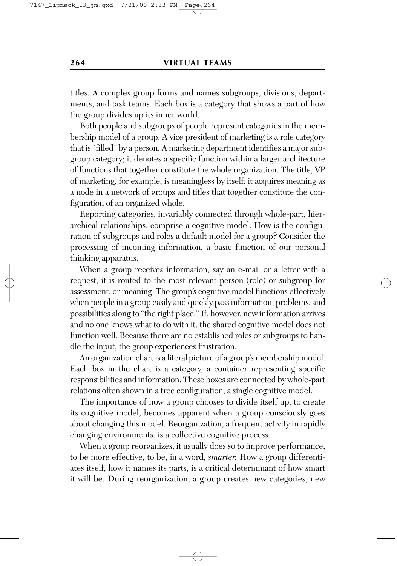titles. A complex group forms and names subgroups, divisions, departments, and task teams. Each box is a category that shows a part of how the group divides up its inner world.

Both people and subgroups of people represent categories in the membership model of a group. A vice president of marketing is a role category that is "filled" by a person. A marketing department identifies a major subgroup category; it denotes a specific function within a larger architecture of functions that together constitute the whole organization. The title, VP of marketing, for example, is meaningless by itself; it acquires meaning as a node in a network of groups and titles that together constitute the configuration of an organized whole.

Reporting categories, invariably connected through whole-part, hierarchical relationships, comprise a cognitive model. How is the configuration of subgroups and roles a default model for a group? Consider the processing of incoming information, a basic function of our personal thinking apparatus.

When a group receives information, say an e-mail or a letter with a request, it is routed to the most relevant person (role) or subgroup for assessment, or meaning. The group's cognitive model functions effectively when people in a group easily and quickly pass information, problems, and possibilities along to "the right place." If, however, new information arrives and no one knows what to do with it, the shared cognitive model does not function well. Because there are no established roles or subgroups to handle the input, the group experiences frustration.

An organization chart is a literal picture of a group's membership model. Each box in the chart is a category, a container representing specific responsibilities and information. These boxes are connected by whole-part relations often shown in a tree configuration, a single cognitive model.

The importance of how a group chooses to divide itself up, to create its cognitive model, becomes apparent when a group consciously goes about changing this model. Reorganization, a frequent activity in rapidly changing environments, is a collective cognitive process.

When a group reorganizes, it usually does so to improve performance, to be more effective, to be, in a word, *smarter.* How a group differentiates itself, how it names its parts, is a critical determinant of how smart it will be. During reorganization, a group creates new categories, new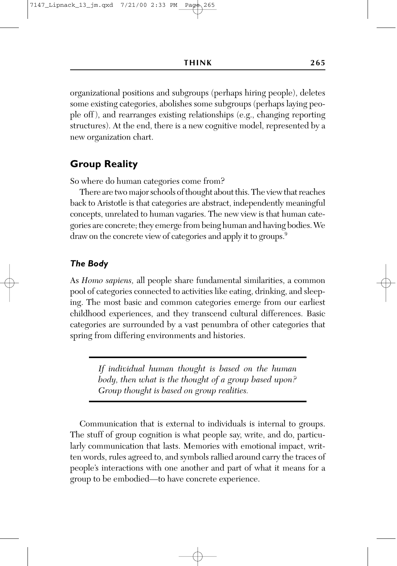organizational positions and subgroups (perhaps hiring people), deletes some existing categories, abolishes some subgroups (perhaps laying people off ), and rearranges existing relationships (e.g., changing reporting structures). At the end, there is a new cognitive model, represented by a new organization chart.

## **Group Reality**

So where do human categories come from?

There are two major schools of thought about this. The view that reaches back to Aristotle is that categories are abstract, independently meaningful concepts, unrelated to human vagaries. The new view is that human categories are concrete; they emerge from being human and having bodies. We draw on the concrete view of categories and apply it to groups.<sup>9</sup>

### *The Body*

As *Homo sapiens,* all people share fundamental similarities, a common pool of categories connected to activities like eating, drinking, and sleeping. The most basic and common categories emerge from our earliest childhood experiences, and they transcend cultural differences. Basic categories are surrounded by a vast penumbra of other categories that spring from differing environments and histories.

> *If individual human thought is based on the human body, then what is the thought of a group based upon? Group thought is based on group realities.*

Communication that is external to individuals is internal to groups. The stuff of group cognition is what people say, write, and do, particularly communication that lasts. Memories with emotional impact, written words, rules agreed to, and symbols rallied around carry the traces of people's interactions with one another and part of what it means for a group to be embodied—to have concrete experience.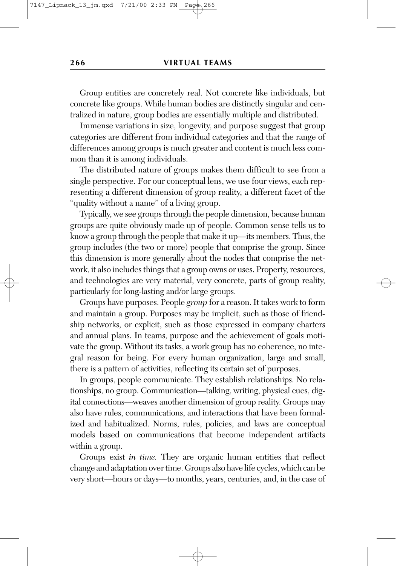Group entities are concretely real. Not concrete like individuals, but concrete like groups. While human bodies are distinctly singular and centralized in nature, group bodies are essentially multiple and distributed.

Immense variations in size, longevity, and purpose suggest that group categories are different from individual categories and that the range of differences among groups is much greater and content is much less common than it is among individuals.

The distributed nature of groups makes them difficult to see from a single perspective. For our conceptual lens, we use four views, each representing a different dimension of group reality, a different facet of the "quality without a name" of a living group.

Typically, we see groups through the people dimension, because human groups are quite obviously made up of people. Common sense tells us to know a group through the people that make it up—its members. Thus, the group includes (the two or more) people that comprise the group. Since this dimension is more generally about the nodes that comprise the network, it also includes things that a group owns or uses. Property, resources, and technologies are very material, very concrete, parts of group reality, particularly for long-lasting and/or large groups.

Groups have purposes. People *group* for a reason. It takes work to form and maintain a group. Purposes may be implicit, such as those of friendship networks, or explicit, such as those expressed in company charters and annual plans. In teams, purpose and the achievement of goals motivate the group. Without its tasks, a work group has no coherence, no integral reason for being. For every human organization, large and small, there is a pattern of activities, reflecting its certain set of purposes.

In groups, people communicate. They establish relationships. No relationships, no group. Communication—talking, writing, physical cues, digital connections—weaves another dimension of group reality. Groups may also have rules, communications, and interactions that have been formalized and habitualized. Norms, rules, policies, and laws are conceptual models based on communications that become independent artifacts within a group.

Groups exist *in time.* They are organic human entities that reflect change and adaptation over time. Groups also have life cycles, which can be very short—hours or days—to months, years, centuries, and, in the case of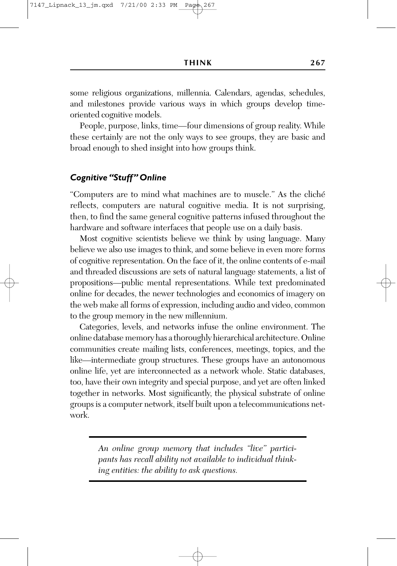some religious organizations, millennia. Calendars, agendas, schedules, and milestones provide various ways in which groups develop timeoriented cognitive models.

People, purpose, links, time—four dimensions of group reality. While these certainly are not the only ways to see groups, they are basic and broad enough to shed insight into how groups think.

#### *Cognitive "Stuff" Online*

"Computers are to mind what machines are to muscle." As the cliché reflects, computers are natural cognitive media. It is not surprising, then, to find the same general cognitive patterns infused throughout the hardware and software interfaces that people use on a daily basis.

Most cognitive scientists believe we think by using language. Many believe we also use images to think, and some believe in even more forms of cognitive representation. On the face of it, the online contents of e-mail and threaded discussions are sets of natural language statements, a list of propositions—public mental representations. While text predominated online for decades, the newer technologies and economics of imagery on the web make all forms of expression, including audio and video, common to the group memory in the new millennium.

Categories, levels, and networks infuse the online environment. The online database memory has a thoroughly hierarchical architecture. Online communities create mailing lists, conferences, meetings, topics, and the like—intermediate group structures. These groups have an autonomous online life, yet are interconnected as a network whole. Static databases, too, have their own integrity and special purpose, and yet are often linked together in networks. Most significantly, the physical substrate of online groups is a computer network, itself built upon a telecommunications network.

> *An online group memory that includes "live" participants has recall ability not available to individual thinking entities: the ability to ask questions.*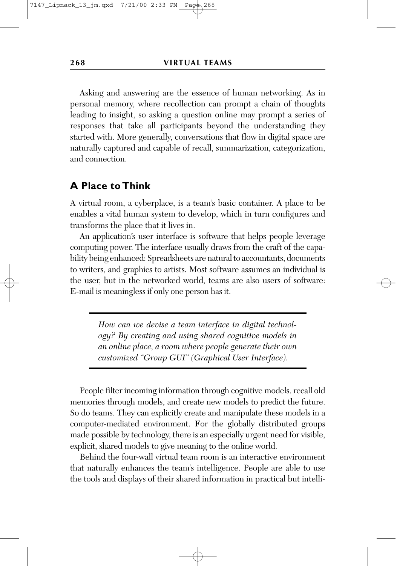Asking and answering are the essence of human networking. As in personal memory, where recollection can prompt a chain of thoughts leading to insight, so asking a question online may prompt a series of responses that take all participants beyond the understanding they started with. More generally, conversations that flow in digital space are naturally captured and capable of recall, summarization, categorization, and connection.

## **A Place to Think**

A virtual room, a cyberplace, is a team's basic container. A place to be enables a vital human system to develop, which in turn configures and transforms the place that it lives in.

An application's user interface is software that helps people leverage computing power. The interface usually draws from the craft of the capability being enhanced: Spreadsheets are natural to accountants, documents to writers, and graphics to artists. Most software assumes an individual is the user, but in the networked world, teams are also users of software: E-mail is meaningless if only one person has it.

> *How can we devise a team interface in digital technology? By creating and using shared cognitive models in an online place, a room where people generate their own customized "Group GUI" (Graphical User Interface).*

People filter incoming information through cognitive models, recall old memories through models, and create new models to predict the future. So do teams. They can explicitly create and manipulate these models in a computer-mediated environment. For the globally distributed groups made possible by technology, there is an especially urgent need for visible, explicit, shared models to give meaning to the online world.

Behind the four-wall virtual team room is an interactive environment that naturally enhances the team's intelligence. People are able to use the tools and displays of their shared information in practical but intelli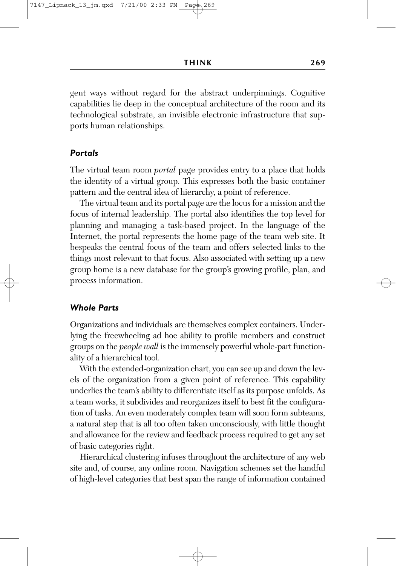gent ways without regard for the abstract underpinnings. Cognitive capabilities lie deep in the conceptual architecture of the room and its technological substrate, an invisible electronic infrastructure that supports human relationships.

#### *Portals*

The virtual team room *portal* page provides entry to a place that holds the identity of a virtual group. This expresses both the basic container pattern and the central idea of hierarchy, a point of reference.

The virtual team and its portal page are the locus for a mission and the focus of internal leadership. The portal also identifies the top level for planning and managing a task-based project. In the language of the Internet, the portal represents the home page of the team web site. It bespeaks the central focus of the team and offers selected links to the things most relevant to that focus. Also associated with setting up a new group home is a new database for the group's growing profile, plan, and process information.

#### *Whole Parts*

Organizations and individuals are themselves complex containers. Underlying the freewheeling ad hoc ability to profile members and construct groups on the *people wall* is the immensely powerful whole-part functionality of a hierarchical tool.

With the extended-organization chart, you can see up and down the levels of the organization from a given point of reference. This capability underlies the team's ability to differentiate itself as its purpose unfolds. As a team works, it subdivides and reorganizes itself to best fit the configuration of tasks. An even moderately complex team will soon form subteams, a natural step that is all too often taken unconsciously, with little thought and allowance for the review and feedback process required to get any set of basic categories right.

Hierarchical clustering infuses throughout the architecture of any web site and, of course, any online room. Navigation schemes set the handful of high-level categories that best span the range of information contained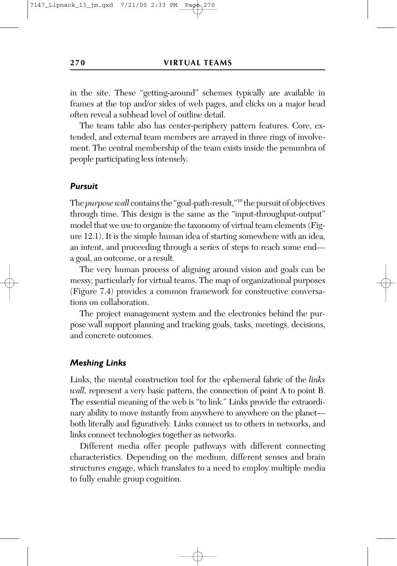in the site. These "getting-around" schemes typically are available in frames at the top and/or sides of web pages, and clicks on a major head often reveal a subhead level of outline detail.

The team table also has center-periphery pattern features. Core, extended, and external team members are arrayed in three rings of involvement. The central membership of the team exists inside the penumbra of people participating less intensely.

#### *Pursuit*

The *purpose wall* contains the "goal-path-result,"10 the pursuit of objectives through time. This design is the same as the "input-throughput-output" model that we use to organize the taxonomy of virtual team elements (Figure 12.1). It is the simple human idea of starting somewhere with an idea, an intent, and proceeding through a series of steps to reach some end a goal, an outcome, or a result.

The very human process of aligning around vision and goals can be messy, particularly for virtual teams. The map of organizational purposes (Figure 7.4) provides a common framework for constructive conversations on collaboration.

The project management system and the electronics behind the purpose wall support planning and tracking goals, tasks, meetings, decisions, and concrete outcomes.

#### *Meshing Links*

Links, the mental construction tool for the ephemeral fabric of the *links wall,* represent a very basic pattern, the connection of point A to point B. The essential meaning of the web is "to link." Links provide the extraordinary ability to move instantly from anywhere to anywhere on the planet both literally and figuratively. Links connect us to others in networks, and links connect technologies together as networks.

Different media offer people pathways with different connecting characteristics. Depending on the medium, different senses and brain structures engage, which translates to a need to employ multiple media to fully enable group cognition.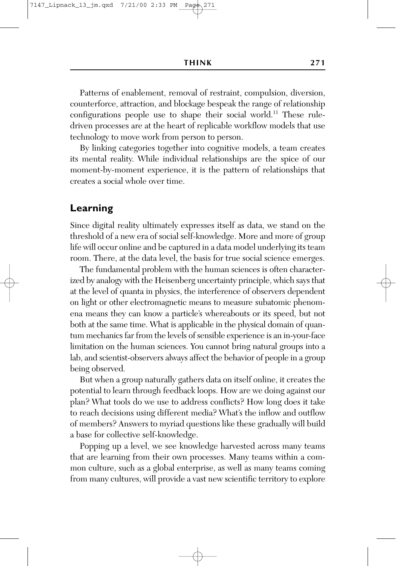Patterns of enablement, removal of restraint, compulsion, diversion, counterforce, attraction, and blockage bespeak the range of relationship configurations people use to shape their social world.<sup>11</sup> These ruledriven processes are at the heart of replicable workflow models that use technology to move work from person to person.

By linking categories together into cognitive models, a team creates its mental reality. While individual relationships are the spice of our moment-by-moment experience, it is the pattern of relationships that creates a social whole over time.

### **Learning**

Since digital reality ultimately expresses itself as data, we stand on the threshold of a new era of social self-knowledge. More and more of group life will occur online and be captured in a data model underlying its team room. There, at the data level, the basis for true social science emerges.

The fundamental problem with the human sciences is often characterized by analogy with the Heisenberg uncertainty principle, which says that at the level of quanta in physics, the interference of observers dependent on light or other electromagnetic means to measure subatomic phenomena means they can know a particle's whereabouts or its speed, but not both at the same time. What is applicable in the physical domain of quantum mechanics far from the levels of sensible experience is an in-your-face limitation on the human sciences. You cannot bring natural groups into a lab, and scientist-observers always affect the behavior of people in a group being observed.

But when a group naturally gathers data on itself online, it creates the potential to learn through feedback loops. How are we doing against our plan? What tools do we use to address conflicts? How long does it take to reach decisions using different media? What's the inflow and outflow of members? Answers to myriad questions like these gradually will build a base for collective self-knowledge.

Popping up a level, we see knowledge harvested across many teams that are learning from their own processes. Many teams within a common culture, such as a global enterprise, as well as many teams coming from many cultures, will provide a vast new scientific territory to explore